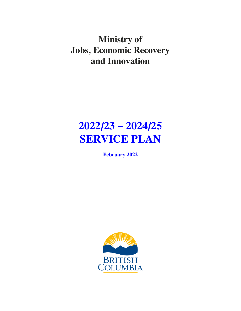**Ministry of Jobs, Economic Recovery and Innovation**

# **2022/23 – 2024/25 SERVICE PLAN**

**February 2022**

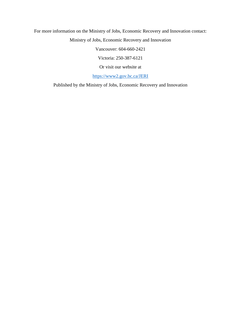For more information on the Ministry of Jobs, Economic Recovery and Innovation contact: Ministry of Jobs, Economic Recovery and Innovation

Vancouver: 604-660-2421

Victoria: 250-387-6121

Or visit our website at

[https://www2.gov.bc.ca/JERI](https://www2.gov.bc.ca/gov/content/governments/organizational-structure/ministries-organizations/ministries/jobs-economic-development-and-competitiveness)

Published by the Ministry of Jobs, Economic Recovery and Innovation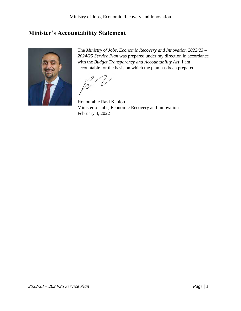## <span id="page-2-0"></span>**Minister's Accountability Statement**



The *Ministry of Jobs, Economic Recovery and Innovation 2022/23 – 2024/25 Service Plan* was prepared under my direction in accordance with the *Budget Transparency and Accountability Act*. I am accountable for the basis on which the plan has been prepared.

Honourable Ravi Kahlon Minister of Jobs, Economic Recovery and Innovation February 4, 2022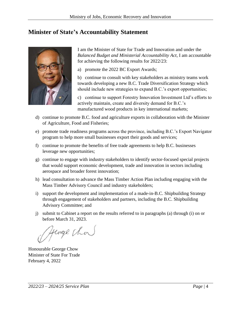### <span id="page-3-0"></span>**Minister of State's Accountability Statement**



I am the Minister of State for Trade and Innovation and under the *Balanced Budget and Ministerial Accountability Act*, I am accountable for achieving the following results for 2022/23:

a) promote the 2022 BC Export Awards;

b) continue to consult with key stakeholders as ministry teams work towards developing a new B.C. Trade Diversification Strategy which should include new strategies to expand B.C.'s export opportunities;

c) continue to support Forestry Innovation Investment Ltd's efforts to actively maintain, create and diversity demand for B.C.'s manufactured wood products in key international markets;

- d) continue to promote B.C. food and agriculture exports in collaboration with the Minister of Agriculture, Food and Fisheries;
- e) promote trade readiness programs across the province, including B.C.'s Export Navigator program to help more small businesses export their goods and services;
- f) continue to promote the benefits of free trade agreements to help B.C. businesses leverage new opportunities;
- g) continue to engage with industry stakeholders to identify sector-focused special projects that would support economic development, trade and innovation in sectors including aerospace and broader forest innovation;
- h) lead consultation to advance the Mass Timber Action Plan including engaging with the Mass Timber Advisory Council and industry stakeholders;
- i) support the development and implementation of a made-in-B.C. Shipbuilding Strategy through engagement of stakeholders and partners, including the B.C. Shipbuilding Advisory Committee; and
- j) submit to Cabinet a report on the results referred to in paragraphs (a) through (i) on or before March 31, 2023.

Heorge Chor

Honourable George Chow Minister of State For Trade February 4, 2022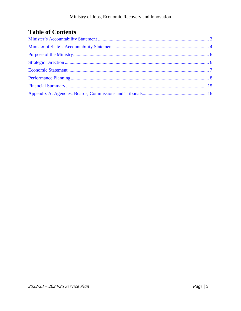## **Table of Contents**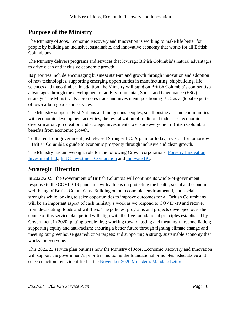## <span id="page-5-0"></span>**Purpose of the Ministry**

The Ministry of Jobs, Economic Recovery and Innovation is working to make life better for people by building an inclusive, sustainable, and innovative economy that works for all British Columbians.

The Ministry delivers programs and services that leverage British Columbia's natural advantages to drive clean and inclusive economic growth.

Its priorities include encouraging business start-up and growth through innovation and adoption of new technologies, supporting emerging opportunities in manufacturing, shipbuilding, life sciences and mass timber. In addition, the Ministry will build on British Columbia's competitive advantages through the development of an Environmental, Social and Governance (ESG) strategy. The Ministry also promotes trade and investment, positioning B.C. as a global exporter of low-carbon goods and services.

The Ministry supports First Nations and Indigenous peoples, small businesses and communities with economic development activities, the revitalization of traditional industries, economic diversification, job creation and strategic investments to ensure everyone in British Columbia benefits from economic growth.

To that end, our government just released Stronger BC: A plan for today, a vision for tomorrow – British Columbia's guide to economic prosperity through inclusive and clean growth.

The Ministry has an oversight role for the following Crown corporations: Forestry Innovation [Investment Ltd.](https://www.bcfii.ca/), [InBC Investment Corporation](https://www.inbcinvestment.ca/) and [Innovate BC.](https://innovatebc.ca/)

## <span id="page-5-1"></span>**Strategic Direction**

In 2022/2023, the Government of British Columbia will continue its whole-of-government response to the COVID-19 pandemic with a focus on protecting the health, social and economic well-being of British Columbians. Building on our economic, environmental, and social strengths while looking to seize opportunities to improve outcomes for all British Columbians will be an important aspect of each ministry's work as we respond to COVID-19 and recover from devastating floods and wildfires. The policies, programs and projects developed over the course of this service plan period will align with the five foundational principles established by Government in 2020: putting people first; working toward lasting and meaningful reconciliation; supporting equity and anti-racism; ensuring a better future through fighting climate change and meeting our greenhouse gas reduction targets; and supporting a strong, sustainable economy that works for everyone.

This 2022/23 service plan outlines how the Ministry of Jobs, Economic Recovery and Innovation will support the government's priorities including the foundational principles listed above and selected action items identified in the November 2020 [Minister's Mandate Letter.](https://www2.gov.bc.ca/assets/gov/government/ministries-organizations/premier-cabinet-mlas/minister-letter/kahlon_mandate_2020.pdf)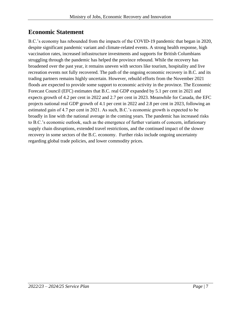## <span id="page-6-0"></span>**Economic Statement**

B.C.'s economy has rebounded from the impacts of the COVID-19 pandemic that began in 2020, despite significant pandemic variant and climate-related events. A strong health response, high vaccination rates, increased infrastructure investments and supports for British Columbians struggling through the pandemic has helped the province rebound. While the recovery has broadened over the past year, it remains uneven with sectors like tourism, hospitality and live recreation events not fully recovered. The path of the ongoing economic recovery in B.C. and its trading partners remains highly uncertain. However, rebuild efforts from the November 2021 floods are expected to provide some support to economic activity in the province. The Economic Forecast Council (EFC) estimates that B.C. real GDP expanded by 5.1 per cent in 2021 and expects growth of 4.2 per cent in 2022 and 2.7 per cent in 2023. Meanwhile for Canada, the EFC projects national real GDP growth of 4.1 per cent in 2022 and 2.8 per cent in 2023, following an estimated gain of 4.7 per cent in 2021. As such, B.C.'s economic growth is expected to be broadly in line with the national average in the coming years. The pandemic has increased risks to B.C.'s economic outlook, such as the emergence of further variants of concern, inflationary supply chain disruptions, extended travel restrictions, and the continued impact of the slower recovery in some sectors of the B.C. economy. Further risks include ongoing uncertainty regarding global trade policies, and lower commodity prices.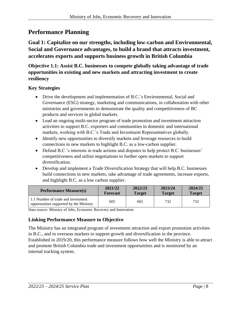## <span id="page-7-0"></span>**Performance Planning**

**Goal 1: Capitalize on our strengths, including low-carbon and Environmental, Social and Governance advantages, to build a brand that attracts investment, accelerates exports and supports business growth in British Columbia**

**Objective 1.1: Assist B.C. businesses to compete globally taking advantage of trade opportunities in existing and new markets and attracting investment to create resiliency**

#### **Key Strategies**

- Drive the development and implementation of B.C.'s Environmental, Social and Governance (ESG) strategy, marketing and communications, in collaboration with other ministries and governments to demonstrate the quality and competitiveness of BC products and services in global markets.
- Lead an ongoing multi-sector program of trade promotion and investment attraction activities to support B.C. exporters and communities in domestic and international markets, working with B.C.'s Trade and Investment Representatives globally.
- Identify new opportunities to diversify markets and leverage resources to build connections in new markets to highlight B.C. as a low-carbon supplier.
- Defend B.C.'s interests in trade actions and disputes to help protect B.C. businesses' competitiveness and utilize negotiations to further open markets to support diversification.
- Develop and implement a Trade Diversification Strategy that will help B.C. businesses build connections in new markets, take advantage of trade agreements, increase exports, and highlight B.C. as a low carbon supplier.

| <b>Performance Measure(s)</b>                                                 | 2021/22         | 2022/23       | 2023/24       | 2024/25       |
|-------------------------------------------------------------------------------|-----------------|---------------|---------------|---------------|
|                                                                               | <b>Forecast</b> | <b>Target</b> | <b>Target</b> | <b>Target</b> |
| 1.1 Number of trade and investment<br>opportunities supported by the Ministry | 605             | 665           | 732           | 732           |

Data source: Ministry of Jobs, Economic Recovery and Innovation

#### **Linking Performance Measure to Objective**

The Ministry has an integrated program of investment attraction and export promotion activities in B.C., and in overseas markets to support growth and diversification in the province. Established in 2019/20, this performance measure follows how well the Ministry is able to attract and promote British Columbia trade and investment opportunities and is monitored by an internal tracking system.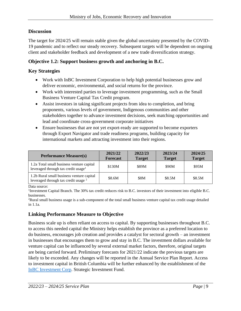#### **Discussion**

The target for 2024/25 will remain stable given the global uncertainty presented by the COVID-19 pandemic and to reflect our steady recovery. Subsequent targets will be dependent on ongoing client and stakeholder feedback and development of a new trade diversification strategy.

#### **Objective 1.2: Support business growth and anchoring in B.C.**

#### **Key Strategies**

- Work with InBC Investment Corporation to help high potential businesses grow and deliver economic, environmental, and social returns for the province.
- Work with interested parties to leverage investment programming, such as the Small Business Venture Capital Tax Credit program.
- Assist investors in taking significant projects from idea to completion, and bring proponents, various levels of government, Indigenous communities and other stakeholders together to advance investment decisions, seek matching opportunities and lead and coordinate cross-government corporate initiatives
- Ensure businesses that are not yet export-ready are supported to become exporters through Export Navigator and trade readiness programs, building capacity for international markets and attracting investment into their regions.

| <b>Performance Measure(s)</b>                                                                | 2021/22<br><b>Forecast</b> | 2022/23<br><b>Target</b> | 2023/24<br><b>Target</b> | 2024/25<br><b>Target</b> |
|----------------------------------------------------------------------------------------------|----------------------------|--------------------------|--------------------------|--------------------------|
| 1.2a Total small business venture capital<br>leveraged through tax credit usage <sup>1</sup> | \$130M                     | \$89M                    | \$90M                    | \$95M                    |
| 1.2b Rural small business venture capital<br>leveraged through tax credit usage <sup>2</sup> | \$8.6M                     | <b>\$8M</b>              | \$8.5M                   | \$8.5M                   |

Data source:

<sup>1</sup>Investment Capital Branch. The 30% tax credit reduces risk to B.C. investors of their investment into eligible B.C. businesses.

<sup>2</sup>Rural small business usage is a sub-component of the total small business venture capital tax credit usage detailed in 1.1a.

#### **Linking Performance Measure to Objective**

Business scale up is often reliant on access to capital. By supporting businesses throughout B.C. to access this needed capital the Ministry helps establish the province as a preferred location to do business, encourages job creation and provides a catalyst for sectoral growth – an investment in businesses that encourages them to grow and stay in B.C. The investment dollars available for venture capital can be influenced by several external market factors, therefore, original targets are being carried forward. Preliminary forecasts for 2021/22 indicate the previous targets are likely to be exceeded. Any changes will be reported in the Annual Service Plan Report. Access to investment capital in British Columbia will be further enhanced by the establishment of the [InBC Investment Corp.](https://www.inbcinvestment.ca/) Strategic Investment Fund.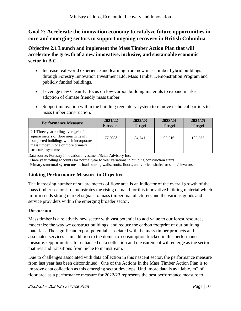#### **Goal 2: Accelerate the innovation economy to catalyze future opportunities in core and emerging sectors to support ongoing recovery in British Columbia**

**Objective 2.1 Launch and implement the Mass Timber Action Plan that will accelerate the growth of a new innovative, inclusive, and sustainable economic sector in B.C.**

- Increase real-world experience and learning from new mass timber hybrid buildings through Forestry Innovation Investment Ltd. Mass Timber Demonstration Program and publicly funded buildings.
- Leverage new CleanBC focus on low-carbon building materials to expand market adoption of climate friendly mass timber.
- Support innovation within the building regulatory system to remove technical barriers to mass timber construction.

| <b>Performance Measure</b>                                                                                                                                                                  | 2021/22         | 2022/23       | 2023/24       | 2024/25       |
|---------------------------------------------------------------------------------------------------------------------------------------------------------------------------------------------|-----------------|---------------|---------------|---------------|
|                                                                                                                                                                                             | <b>Forecast</b> | <b>Target</b> | <b>Target</b> | <b>Target</b> |
| 2.1 Three year rolling average $\sigma$ of<br>square meters of floor area in newly<br>completed buildings which incorporate<br>mass timber in one or more primary<br>structural systems $2$ | 77.0383         | 84.741        | 93.216        | 102.537       |

Data source: Forestry Innovation Investment/Scius Advisory Inc.

<sup>1</sup>Three year rolling accounts for normal year to year variations in building construction starts

<sup>2</sup>Primary structural system means load bearing walls, roofs, floors, and vertical shafts for stairs/elevators

#### **Linking Performance Measure to Objective**

The increasing number of square meters of floor area is an indicator of the overall growth of the mass timber sector. It demonstrates the rising demand for this innovative building material which in-turn sends strong market signals to mass timber manufacturers and the various goods and service providers within the emerging broader sector.

#### **Discussion**

Mass timber is a relatively new sector with vast potential to add value to our forest resource, modernize the way we construct buildings, and reduce the carbon footprint of our building materials. The significant export potential associated with the mass timber products and associated services is in addition to the domestic consumption tracked in this performance measure. Opportunities for enhanced data collection and measurement will emerge as the sector matures and transitions from niche to mainstream.

Due to challenges associated with data collection in this nascent sector, the performance measure from last year has been discontinued. One of the Actions in the Mass Timber Action Plan is to improve data collection as this emerging sector develops. Until more data is available, m2 of floor area as a performance measure for 2022/23 represents the best performance measure to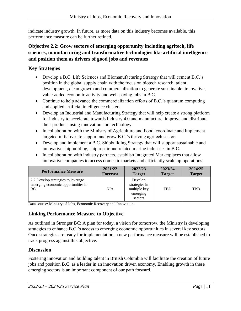indicate industry growth. In future, as more data on this industry becomes available, this performance measure can be further refined.

#### **Objective 2.2: Grow sectors of emerging opportunity including agritech, life sciences, manufacturing and transformative technologies like artificial intelligence and position them as drivers of good jobs and revenues**

#### **Key Strategies**

- Develop a B.C. Life Sciences and Biomanufacturing Strategy that will cement B.C.'s position in the global supply chain with the focus on biotech research, talent development, clean growth and commercialization to generate sustainable, innovative, value-added economic activity and well-paying jobs in B.C.
- Continue to help advance the commercialization efforts of B.C.'s quantum computing and applied artificial intelligence clusters.
- Develop an Industrial and Manufacturing Strategy that will help create a strong platform for industry to accelerate towards Industry 4.0 and manufacture, improve and distribute their products using innovation and technology.
- In collaboration with the Ministry of Agriculture and Food, coordinate and implement targeted initiatives to support and grow B.C.'s thriving agritech sector.
- Develop and implement a B.C. Shipbuilding Strategy that will support sustainable and innovative shipbuilding, ship repair and related marine industries in B.C.
- In collaboration with industry partners, establish Integrated Marketplaces that allow innovative companies to access domestic markets and efficiently scale up operations.

| <b>Performance Measure</b>                                                            | 2021/22         | 2022/23                                                         | 2023/24       | 2024/25       |
|---------------------------------------------------------------------------------------|-----------------|-----------------------------------------------------------------|---------------|---------------|
|                                                                                       | <b>Forecast</b> | <b>Target</b>                                                   | <b>Target</b> | <b>Target</b> |
| 2.2 Develop strategies to leverage<br>emerging economic opportunities in<br><b>BC</b> | N/A             | Develop<br>strategies in<br>multiple key<br>emerging<br>sectors | <b>TBD</b>    | <b>TBD</b>    |

Data source: Ministry of Jobs, Economic Recovery and Innovation.

#### **Linking Performance Measure to Objective**

As outlined in Stronger BC: A plan for today, a vision for tomorrow, the Ministry is developing strategies to enhance B.C.'s access to emerging economic opportunities in several key sectors. Once strategies are ready for implementation, a new performance measure will be established to track progress against this objective.

#### **Discussion**

Fostering innovation and building talent in British Columbia will facilitate the creation of future jobs and position B.C. as a leader in an innovation driven economy. Enabling growth in these emerging sectors is an important component of our path forward.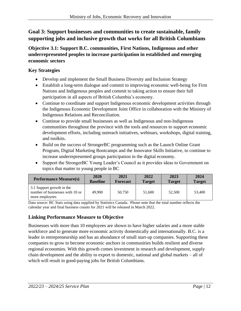#### **Goal 3: Support businesses and communities to create sustainable, family supporting jobs and inclusive growth that works for all British Columbians**

**Objective 3.1: Support B.C. communities, First Nations, Indigenous and other underrepresented peoples to increase participation in established and emerging economic sectors**

#### **Key Strategies**

- Develop and implement the Small Business Diversity and Inclusion Strategy
- Establish a long-term dialogue and commit to improving economic well-being for First Nations and Indigenous peoples and commit to taking action to ensure their full participation in all aspects of British Columbia's economy.
- Continue to coordinate and support Indigenous economic development activities through the Indigenous Economic Development Joint Office in collaboration with the Ministry of Indigenous Relations and Reconciliation.
- Continue to provide small businesses as well as Indigenous and non-Indigenous communities throughout the province with the tools and resources to support economic development efforts, including outreach initiatives, webinars, workshops, digital training, and toolkits.
- Build on the success of StrongerBC programming such as the Launch Online Grant Program, Digital Marketing Bootcamps and the Innovator Skills Initiative, to continue to increase underrepresented groups participation in the digital economy.
- Support the StrongerBC Young Leader's Council as it provides ideas to Government on topics that matter to young people in BC

| <b>Performance Measure(s)</b>                                                  | 2020            | 2021            | 2022          | 2023          | 2024          |
|--------------------------------------------------------------------------------|-----------------|-----------------|---------------|---------------|---------------|
|                                                                                | <b>Baseline</b> | <b>Forecast</b> | <b>Target</b> | <b>Target</b> | <b>Target</b> |
| 3.1 Support growth in the<br>number of businesses with 10 or<br>more employees | 49,900          | 50,750          | 51,600        | 52,500        | 53,400        |

Data source: BC Stats using data supplied by Statistics Canada. Please note that the total number reflects the calendar year and final business counts for 2021 will be released in March 2022.

#### **Linking Performance Measure to Objective**

Businesses with more than 10 employees are shown to have higher salaries and a more stable workforce and to generate more economic activity domestically and internationally. B.C. is a leader in entrepreneurship and has an abundance of small start-up companies. Supporting these companies to grow to become economic anchors in communities builds resilient and diverse regional economies. With this growth comes investment in research and development, supply chain development and the ability to export to domestic, national and global markets – all of which will result in good-paying jobs for British Columbians.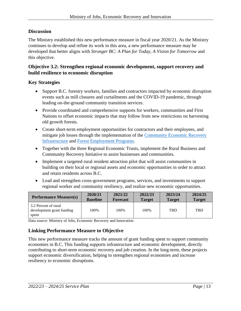#### **Discussion**

The Ministry established this new performance measure in fiscal year 2020/21. As the Ministry continues to develop and refine its work in this area, a new performance measure may be developed that better aligns with *Stronger BC: A Plan for Today, A Vision for Tomorrow* and this objective.

#### **Objective 3.2: Strengthen regional economic development, support recovery and build resilience to economic disruption**

#### **Key Strategies**

- Support B.C. forestry workers, families and contractors impacted by economic disruption events such as mill closures and curtailments and the COVID-19 pandemic, through leading on-the-ground community transition services.
- Provide coordinated and comprehensive supports for workers, communities and First Nations to offset economic impacts that may follow from new restrictions on harvesting old growth forests.
- Create short-term employment opportunities for contractors and their employees, and mitigate job losses through the implementation of the [Community Economic Recovery](https://www2.gov.bc.ca/gov/content/economic-recovery/cerip)  [Infrastructure](https://www2.gov.bc.ca/gov/content/economic-recovery/cerip) and [Forest Employment Programs.](https://www2.gov.bc.ca/gov/content/industry/forestry/supports-for-forestry-workers/short-term-forest-employment-program)
- Together with the three Regional Economic Trusts, implement the Rural Business and Community Recovery Initiative to assist businesses and communities.
- Implement a targeted rural resident attraction pilot that will assist communities in building on their local or regional assets and economic opportunities in order to attract and retain residents across B.C.
- Lead and strengthen cross-government programs, services, and investments to support regional worker and community resiliency, and realize new economic opportunities.

| <b>Performance Measure(s)</b>                              | 2020/21         | 2021/22         | 2022/23       | 2023/24       | 2024/25       |
|------------------------------------------------------------|-----------------|-----------------|---------------|---------------|---------------|
|                                                            | <b>Baseline</b> | <b>Forecast</b> | <b>Target</b> | <b>Target</b> | <b>Target</b> |
| 3.2 Percent of rural<br>development grant funding<br>spent | 100%            | 100%            | 100%          | <b>TBD</b>    | <b>TBD</b>    |

Data source: Ministry of Jobs, Economic Recovery and Innovation

#### **Linking Performance Measure to Objective**

This new performance measure tracks the amount of grant funding spent to support community economies in B.C. This funding supports infrastructure and economic development, directly contributing to short-term economic recovery and job creation. In the long-term, these projects support economic diversification, helping to strengthen regional economies and increase resiliency to economic disruptions.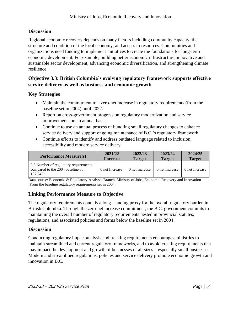#### **Discussion**

Regional economic recovery depends on many factors including community capacity, the structure and condition of the local economy, and access to resources. Communities and organizations need funding to implement initiatives to create the foundations for long-term economic development. For example, building better economic infrastructure, innovative and sustainable sector development, advancing economic diversification, and strengthening climate resilience.

#### **Objective 3.3: British Columbia's evolving regulatory framework supports effective service delivery as well as business and economic growth**

#### **Key Strategies**

- Maintain the commitment to a zero-net increase in regulatory requirements (from the baseline set in 2004) until 2022.
- Report on cross-government progress on regulatory modernization and service improvements on an annual basis.
- Continue to use an annual process of bundling small regulatory changes to enhance service delivery and support ongoing maintenance of B.C.'s regulatory framework.
- Continue efforts to identify and address outdated language related to inclusion, accessibility and modern service delivery.

| <b>Performance Measure(s)</b>                                                                     | 2021/22                       | 2022/23        | 2023/24        | 2024/25        |
|---------------------------------------------------------------------------------------------------|-------------------------------|----------------|----------------|----------------|
|                                                                                                   | <b>Forecast</b>               | <b>Target</b>  | <b>Target</b>  | <b>Target</b>  |
| 3.3 Number of regulatory requirements<br>compared to the 2004 baseline of<br>197,242 <sup>1</sup> | $0$ net Increase <sup>1</sup> | 0 net Increase | 0 net Increase | 0 net Increase |

Data source: Economic & Regulatory Analysis Branch, Ministry of Jobs, Economic Recovery and Innovation <sup>1</sup>From the baseline regulatory requirements set in 2004.

#### **Linking Performance Measure to Objective**

The regulatory requirements count is a long-standing proxy for the overall regulatory burden in British Columbia. Through the zero-net increase commitment, the B.C. government commits to maintaining the overall number of regulatory requirements nested in provincial statutes, regulations, and associated policies and forms below the baseline set in 2004.

#### **Discussion**

Conducting regulatory impact analysis and tracking requirements encourages ministries to maintain streamlined and current regulatory frameworks, and to avoid creating requirements that may impact the development and growth of businesses of all sizes – especially small businesses. Modern and streamlined regulations, policies and service delivery promote economic growth and innovation in B.C.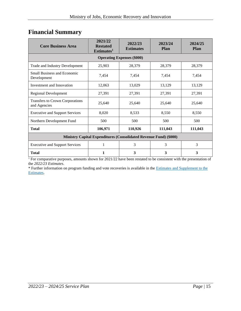## <span id="page-14-0"></span>**Financial Summary**

| <b>Core Business Area</b>                                                | 2021/22<br><b>Restated</b><br>Estimates <sup>1</sup> | 2022/23<br><b>Estimates</b> | 2023/24<br><b>Plan</b> | 2024/25<br><b>Plan</b> |  |  |  |  |
|--------------------------------------------------------------------------|------------------------------------------------------|-----------------------------|------------------------|------------------------|--|--|--|--|
|                                                                          | <b>Operating Expenses (\$000)</b>                    |                             |                        |                        |  |  |  |  |
| Trade and Industry Development                                           | 25,903                                               | 28,379                      | 28,379                 | 28,379                 |  |  |  |  |
| <b>Small Business and Economic</b><br>Development                        | 7,454                                                | 7,454                       | 7,454                  | 7,454                  |  |  |  |  |
| Investment and Innovation                                                | 12,063                                               | 13,029                      | 13,129                 | 13,129                 |  |  |  |  |
| <b>Regional Development</b>                                              | 27,391                                               | 27,391                      | 27,391                 | 27,391                 |  |  |  |  |
| Transfers to Crown Corporations<br>and Agencies                          | 25,640                                               | 25,640                      | 25,640                 | 25,640                 |  |  |  |  |
| <b>Executive and Support Services</b>                                    | 8,020                                                | 8,533                       | 8,550                  | 8,550                  |  |  |  |  |
| Northern Development Fund                                                | 500                                                  | 500                         | 500                    | 500                    |  |  |  |  |
| <b>Total</b>                                                             | 106,971                                              | 110,926                     | 111,043                | 111,043                |  |  |  |  |
| <b>Ministry Capital Expenditures (Consolidated Revenue Fund) (\$000)</b> |                                                      |                             |                        |                        |  |  |  |  |
| <b>Executive and Support Services</b>                                    | 1                                                    | 3                           | 3                      | 3                      |  |  |  |  |
| <b>Total</b>                                                             | 1                                                    | 3                           | 3                      | 3                      |  |  |  |  |

<sup>1</sup> For comparative purposes, amounts shown for 2021/22 have been restated to be consistent with the presentation of the *2022/23 Estimates*.

\* Further information on program funding and vote recoveries is available in the [Estimates and Supplement to the](http://www.bcbudget.gov.bc.ca/)  [Estimates.](http://www.bcbudget.gov.bc.ca/)